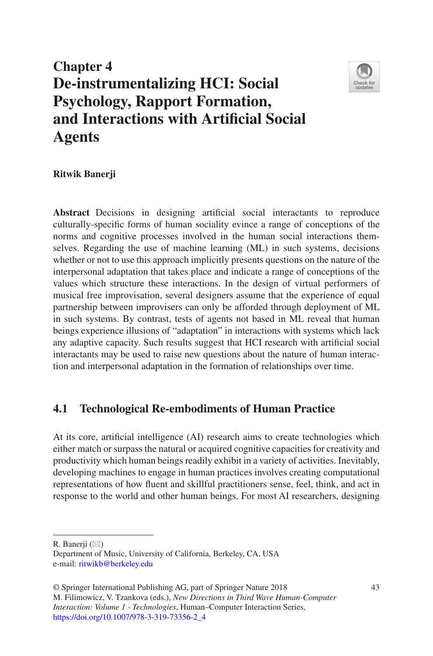# **Chapter 4 De-instrumentalizing HCI: Social Psychology, Rapport Formation, and Interactions with Artificial Social Agents**



#### **Ritwik Banerji**

**Abstract** Decisions in designing artificial social interactants to reproduce culturally-specific forms of human sociality evince a range of conceptions of the norms and cognitive processes involved in the human social interactions themselves. Regarding the use of machine learning (ML) in such systems, decisions whether or not to use this approach implicitly presents questions on the nature of the interpersonal adaptation that takes place and indicate a range of conceptions of the values which structure these interactions. In the design of virtual performers of musical free improvisation, several designers assume that the experience of equal partnership between improvisers can only be afforded through deployment of ML in such systems. By contrast, tests of agents not based in ML reveal that human beings experience illusions of "adaptation" in interactions with systems which lack any adaptive capacity. Such results suggest that HCI research with artificial social interactants may be used to raise new questions about the nature of human interaction and interpersonal adaptation in the formation of relationships over time.

### **4.1 Technological Re-embodiments of Human Practice**

At its core, artificial intelligence (AI) research aims to create technologies which either match or surpass the natural or acquired cognitive capacities for creativity and productivity which human beings readily exhibit in a variety of activities. Inevitably, developing machines to engage in human practices involves creating computational representations of how fluent and skillful practitioners sense, feel, think, and act in response to the world and other human beings. For most AI researchers, designing

M. Filimowicz, V. Tzankova (eds.), *New Directions in Third Wave Human-Computer Interaction: Volume 1 - Technologies*, Human–Computer Interaction Series, [https://doi.org/10.1007/978-3-319-73356-2\\_4](https://doi.org/10.1007/978-3-319-73356-2_4)

R. Banerji  $(\boxtimes)$ 

Department of Music, University of California, Berkeley, CA, USA e-mail: [ritwikb@berkeley.edu](mailto:ritwikb@berkeley.edu)

<sup>©</sup> Springer International Publishing AG, part of Springer Nature 2018 43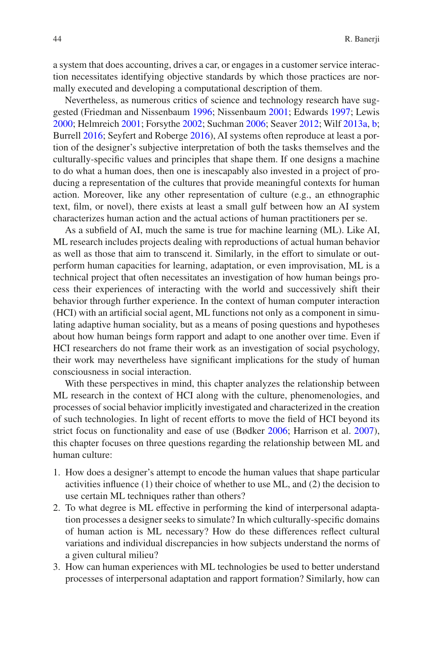a system that does accounting, drives a car, or engages in a customer service interaction necessitates identifying objective standards by which those practices are normally executed and developing a computational description of them.

Nevertheless, as numerous critics of science and technology research have suggested (Friedman and Nissenbaum [1996](#page-21-0); Nissenbaum [2001;](#page-23-0) Edwards [1997;](#page-21-1) Lewis [2000;](#page-22-0) Helmreich [2001](#page-22-1); Forsythe [2002](#page-21-2); Suchman [2006;](#page-23-1) Seaver [2012;](#page-23-2) Wilf [2013a](#page-23-3), [b;](#page-23-4) Burrell [2016](#page-20-0); Seyfert and Roberge [2016](#page-23-5)), AI systems often reproduce at least a portion of the designer's subjective interpretation of both the tasks themselves and the culturally-specific values and principles that shape them. If one designs a machine to do what a human does, then one is inescapably also invested in a project of producing a representation of the cultures that provide meaningful contexts for human action. Moreover, like any other representation of culture (e.g., an ethnographic text, film, or novel), there exists at least a small gulf between how an AI system characterizes human action and the actual actions of human practitioners per se.

As a subfield of AI, much the same is true for machine learning (ML). Like AI, ML research includes projects dealing with reproductions of actual human behavior as well as those that aim to transcend it. Similarly, in the effort to simulate or outperform human capacities for learning, adaptation, or even improvisation, ML is a technical project that often necessitates an investigation of how human beings process their experiences of interacting with the world and successively shift their behavior through further experience. In the context of human computer interaction (HCI) with an artificial social agent, ML functions not only as a component in simulating adaptive human sociality, but as a means of posing questions and hypotheses about how human beings form rapport and adapt to one another over time. Even if HCI researchers do not frame their work as an investigation of social psychology, their work may nevertheless have significant implications for the study of human consciousness in social interaction.

With these perspectives in mind, this chapter analyzes the relationship between ML research in the context of HCI along with the culture, phenomenologies, and processes of social behavior implicitly investigated and characterized in the creation of such technologies. In light of recent efforts to move the field of HCI beyond its strict focus on functionality and ease of use (Bødker [2006;](#page-20-1) Harrison et al. [2007\)](#page-22-2), this chapter focuses on three questions regarding the relationship between ML and human culture:

- 1. How does a designer's attempt to encode the human values that shape particular activities influence (1) their choice of whether to use ML, and (2) the decision to use certain ML techniques rather than others?
- 2. To what degree is ML effective in performing the kind of interpersonal adaptation processes a designer seeks to simulate? In which culturally-specific domains of human action is ML necessary? How do these differences reflect cultural variations and individual discrepancies in how subjects understand the norms of a given cultural milieu?
- 3. How can human experiences with ML technologies be used to better understand processes of interpersonal adaptation and rapport formation? Similarly, how can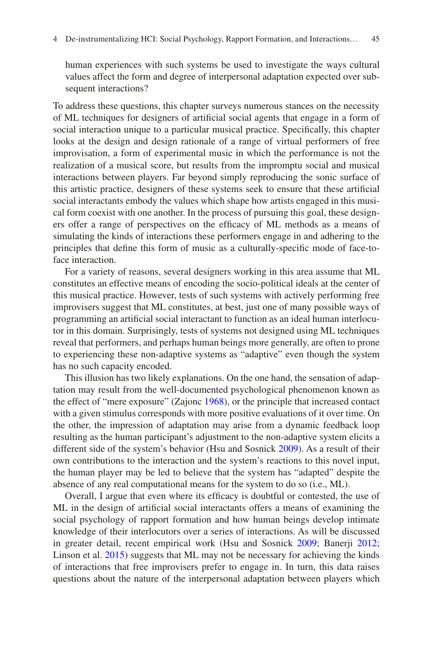human experiences with such systems be used to investigate the ways cultural values affect the form and degree of interpersonal adaptation expected over subsequent interactions?

To address these questions, this chapter surveys numerous stances on the necessity of ML techniques for designers of artificial social agents that engage in a form of social interaction unique to a particular musical practice. Specifically, this chapter looks at the design and design rationale of a range of virtual performers of free improvisation, a form of experimental music in which the performance is not the realization of a musical score, but results from the impromptu social and musical interactions between players. Far beyond simply reproducing the sonic surface of this artistic practice, designers of these systems seek to ensure that these artificial social interactants embody the values which shape how artists engaged in this musical form coexist with one another. In the process of pursuing this goal, these designers offer a range of perspectives on the efficacy of ML methods as a means of simulating the kinds of interactions these performers engage in and adhering to the principles that define this form of music as a culturally-specific mode of face-toface interaction.

For a variety of reasons, several designers working in this area assume that ML constitutes an effective means of encoding the socio-political ideals at the center of this musical practice. However, tests of such systems with actively performing free improvisers suggest that ML constitutes, at best, just one of many possible ways of programming an artificial social interactant to function as an ideal human interlocutor in this domain. Surprisingly, tests of systems not designed using ML techniques reveal that performers, and perhaps human beings more generally, are often to prone to experiencing these non-adaptive systems as "adaptive" even though the system has no such capacity encoded.

This illusion has two likely explanations. On the one hand, the sensation of adaptation may result from the well-documented psychological phenomenon known as the effect of "mere exposure" (Zajonc [1968](#page-23-6)), or the principle that increased contact with a given stimulus corresponds with more positive evaluations of it over time. On the other, the impression of adaptation may arise from a dynamic feedback loop resulting as the human participant's adjustment to the non-adaptive system elicits a different side of the system's behavior (Hsu and Sosnick [2009\)](#page-22-3). As a result of their own contributions to the interaction and the system's reactions to this novel input, the human player may be led to believe that the system has "adapted" despite the absence of any real computational means for the system to do so (i.e., ML).

Overall, I argue that even where its efficacy is doubtful or contested, the use of ML in the design of artificial social interactants offers a means of examining the social psychology of rapport formation and how human beings develop intimate knowledge of their interlocutors over a series of interactions. As will be discussed in greater detail, recent empirical work (Hsu and Sosnick [2009;](#page-22-3) Banerji [2012;](#page-20-2) Linson et al. [2015\)](#page-22-4) suggests that ML may not be necessary for achieving the kinds of interactions that free improvisers prefer to engage in. In turn, this data raises questions about the nature of the interpersonal adaptation between players which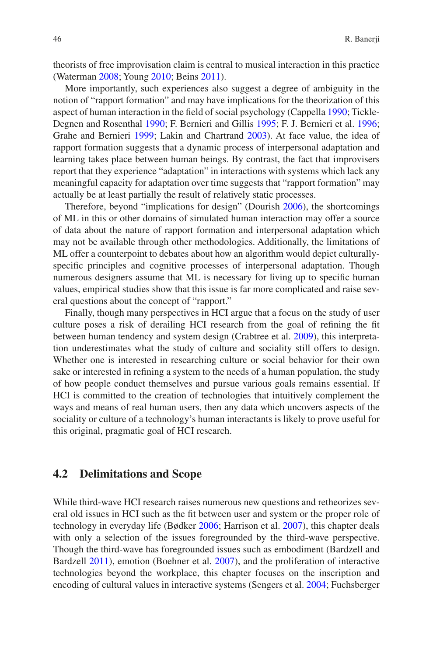theorists of free improvisation claim is central to musical interaction in this practice (Waterman [2008;](#page-23-7) Young [2010;](#page-23-8) Beins [2011](#page-20-3)).

More importantly, such experiences also suggest a degree of ambiguity in the notion of "rapport formation" and may have implications for the theorization of this aspect of human interaction in the field of social psychology (Cappella [1990](#page-21-3); Tickle-Degnen and Rosenthal [1990](#page-23-9); F. Bernieri and Gillis [1995](#page-20-4); F. J. Bernieri et al. [1996;](#page-20-5) Grahe and Bernieri [1999](#page-22-5); Lakin and Chartrand [2003](#page-22-6)). At face value, the idea of rapport formation suggests that a dynamic process of interpersonal adaptation and learning takes place between human beings. By contrast, the fact that improvisers report that they experience "adaptation" in interactions with systems which lack any meaningful capacity for adaptation over time suggests that "rapport formation" may actually be at least partially the result of relatively static processes.

Therefore, beyond "implications for design" (Dourish [2006](#page-21-4)), the shortcomings of ML in this or other domains of simulated human interaction may offer a source of data about the nature of rapport formation and interpersonal adaptation which may not be available through other methodologies. Additionally, the limitations of ML offer a counterpoint to debates about how an algorithm would depict culturallyspecific principles and cognitive processes of interpersonal adaptation. Though numerous designers assume that ML is necessary for living up to specific human values, empirical studies show that this issue is far more complicated and raise several questions about the concept of "rapport."

Finally, though many perspectives in HCI argue that a focus on the study of user culture poses a risk of derailing HCI research from the goal of refining the fit between human tendency and system design (Crabtree et al. [2009](#page-21-5)), this interpretation underestimates what the study of culture and sociality still offers to design. Whether one is interested in researching culture or social behavior for their own sake or interested in refining a system to the needs of a human population, the study of how people conduct themselves and pursue various goals remains essential. If HCI is committed to the creation of technologies that intuitively complement the ways and means of real human users, then any data which uncovers aspects of the sociality or culture of a technology's human interactants is likely to prove useful for this original, pragmatic goal of HCI research.

### **4.2 Delimitations and Scope**

While third-wave HCI research raises numerous new questions and retheorizes several old issues in HCI such as the fit between user and system or the proper role of technology in everyday life (Bødker [2006;](#page-20-1) Harrison et al. [2007](#page-22-2)), this chapter deals with only a selection of the issues foregrounded by the third-wave perspective. Though the third-wave has foregrounded issues such as embodiment (Bardzell and Bardzell [2011\)](#page-20-6), emotion (Boehner et al. [2007](#page-20-7)), and the proliferation of interactive technologies beyond the workplace, this chapter focuses on the inscription and encoding of cultural values in interactive systems (Sengers et al. [2004](#page-23-10); Fuchsberger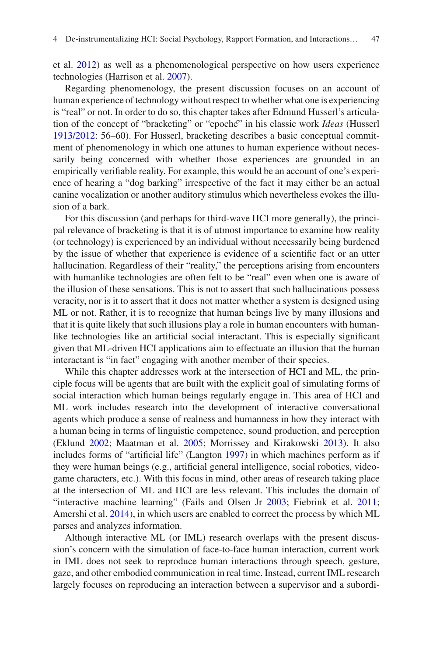et al. [2012](#page-21-6)) as well as a phenomenological perspective on how users experience technologies (Harrison et al. [2007\)](#page-22-2).

Regarding phenomenology, the present discussion focuses on an account of human experience of technology without respect to whether what one is experiencing is "real" or not. In order to do so, this chapter takes after Edmund Husserl's articulation of the concept of "bracketing" or "epoché" in his classic work *Ideas* (Husserl [1913/2012:](#page-22-7) 56–60). For Husserl, bracketing describes a basic conceptual commitment of phenomenology in which one attunes to human experience without necessarily being concerned with whether those experiences are grounded in an empirically verifiable reality. For example, this would be an account of one's experience of hearing a "dog barking" irrespective of the fact it may either be an actual canine vocalization or another auditory stimulus which nevertheless evokes the illusion of a bark.

For this discussion (and perhaps for third-wave HCI more generally), the principal relevance of bracketing is that it is of utmost importance to examine how reality (or technology) is experienced by an individual without necessarily being burdened by the issue of whether that experience is evidence of a scientific fact or an utter hallucination. Regardless of their "reality," the perceptions arising from encounters with humanlike technologies are often felt to be "real" even when one is aware of the illusion of these sensations. This is not to assert that such hallucinations possess veracity, nor is it to assert that it does not matter whether a system is designed using ML or not. Rather, it is to recognize that human beings live by many illusions and that it is quite likely that such illusions play a role in human encounters with humanlike technologies like an artificial social interactant. This is especially significant given that ML-driven HCI applications aim to effectuate an illusion that the human interactant is "in fact" engaging with another member of their species.

While this chapter addresses work at the intersection of HCI and ML, the principle focus will be agents that are built with the explicit goal of simulating forms of social interaction which human beings regularly engage in. This area of HCI and ML work includes research into the development of interactive conversational agents which produce a sense of realness and humanness in how they interact with a human being in terms of linguistic competence, sound production, and perception (Eklund [2002;](#page-21-7) Maatman et al. [2005](#page-22-8); Morrissey and Kirakowski [2013](#page-23-11)). It also includes forms of "artificial life" (Langton [1997](#page-22-9)) in which machines perform as if they were human beings (e.g., artificial general intelligence, social robotics, videogame characters, etc.). With this focus in mind, other areas of research taking place at the intersection of ML and HCI are less relevant. This includes the domain of "interactive machine learning" (Fails and Olsen Jr [2003;](#page-21-8) Fiebrink et al. [2011;](#page-21-9) Amershi et al. [2014](#page-19-0)), in which users are enabled to correct the process by which ML parses and analyzes information.

Although interactive ML (or IML) research overlaps with the present discussion's concern with the simulation of face-to-face human interaction, current work in IML does not seek to reproduce human interactions through speech, gesture, gaze, and other embodied communication in real time. Instead, current IML research largely focuses on reproducing an interaction between a supervisor and a subordi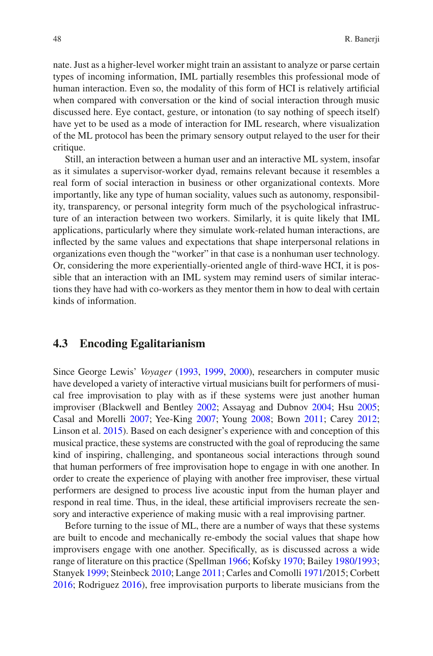nate. Just as a higher-level worker might train an assistant to analyze or parse certain types of incoming information, IML partially resembles this professional mode of human interaction. Even so, the modality of this form of HCI is relatively artificial when compared with conversation or the kind of social interaction through music discussed here. Eye contact, gesture, or intonation (to say nothing of speech itself) have yet to be used as a mode of interaction for IML research, where visualization of the ML protocol has been the primary sensory output relayed to the user for their critique.

Still, an interaction between a human user and an interactive ML system, insofar as it simulates a supervisor-worker dyad, remains relevant because it resembles a real form of social interaction in business or other organizational contexts. More importantly, like any type of human sociality, values such as autonomy, responsibility, transparency, or personal integrity form much of the psychological infrastructure of an interaction between two workers. Similarly, it is quite likely that IML applications, particularly where they simulate work-related human interactions, are inflected by the same values and expectations that shape interpersonal relations in organizations even though the "worker" in that case is a nonhuman user technology. Or, considering the more experientially-oriented angle of third-wave HCI, it is possible that an interaction with an IML system may remind users of similar interactions they have had with co-workers as they mentor them in how to deal with certain kinds of information.

### **4.3 Encoding Egalitarianism**

Since George Lewis' *Voyager* [\(1993](#page-22-10), [1999,](#page-22-11) [2000\)](#page-22-0), researchers in computer music have developed a variety of interactive virtual musicians built for performers of musical free improvisation to play with as if these systems were just another human improviser (Blackwell and Bentley [2002;](#page-20-8) Assayag and Dubnov [2004;](#page-19-1) Hsu [2005;](#page-22-12) Casal and Morelli [2007;](#page-21-10) Yee-King [2007](#page-23-12); Young [2008;](#page-23-13) Bown [2011;](#page-20-9) Carey [2012;](#page-21-11) Linson et al. [2015\)](#page-22-4). Based on each designer's experience with and conception of this musical practice, these systems are constructed with the goal of reproducing the same kind of inspiring, challenging, and spontaneous social interactions through sound that human performers of free improvisation hope to engage in with one another. In order to create the experience of playing with another free improviser, these virtual performers are designed to process live acoustic input from the human player and respond in real time. Thus, in the ideal, these artificial improvisers recreate the sensory and interactive experience of making music with a real improvising partner.

Before turning to the issue of ML, there are a number of ways that these systems are built to encode and mechanically re-embody the social values that shape how improvisers engage with one another. Specifically, as is discussed across a wide range of literature on this practice (Spellman [1966;](#page-23-14) Kofsky [1970](#page-22-13); Bailey [1980/1993;](#page-20-10) Stanyek [1999;](#page-23-15) Steinbeck [2010;](#page-23-16) Lange [2011](#page-22-14); Carles and Comolli [1971](#page-21-12)/2015; Corbett [2016;](#page-21-13) Rodriguez [2016\)](#page-23-17), free improvisation purports to liberate musicians from the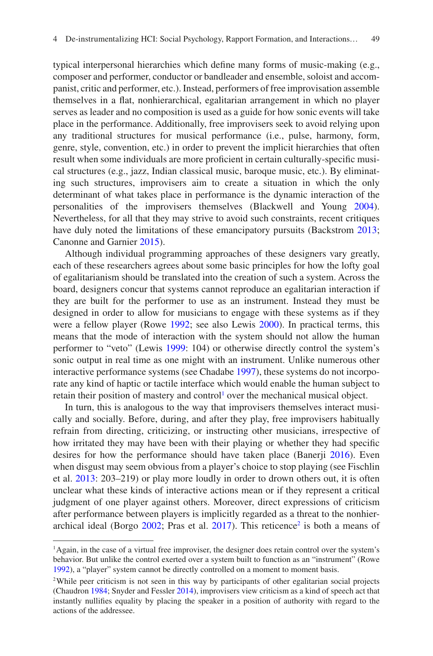typical interpersonal hierarchies which define many forms of music-making (e.g., composer and performer, conductor or bandleader and ensemble, soloist and accompanist, critic and performer, etc.). Instead, performers of free improvisation assemble themselves in a flat, nonhierarchical, egalitarian arrangement in which no player serves as leader and no composition is used as a guide for how sonic events will take place in the performance. Additionally, free improvisers seek to avoid relying upon any traditional structures for musical performance (i.e., pulse, harmony, form, genre, style, convention, etc.) in order to prevent the implicit hierarchies that often result when some individuals are more proficient in certain culturally-specific musical structures (e.g., jazz, Indian classical music, baroque music, etc.). By eliminating such structures, improvisers aim to create a situation in which the only determinant of what takes place in performance is the dynamic interaction of the personalities of the improvisers themselves (Blackwell and Young [2004\)](#page-20-11). Nevertheless, for all that they may strive to avoid such constraints, recent critiques have duly noted the limitations of these emancipatory pursuits (Backstrom [2013;](#page-20-12) Canonne and Garnier [2015\)](#page-20-13).

Although individual programming approaches of these designers vary greatly, each of these researchers agrees about some basic principles for how the lofty goal of egalitarianism should be translated into the creation of such a system. Across the board, designers concur that systems cannot reproduce an egalitarian interaction if they are built for the performer to use as an instrument. Instead they must be designed in order to allow for musicians to engage with these systems as if they were a fellow player (Rowe [1992;](#page-23-18) see also Lewis [2000](#page-22-0)). In practical terms, this means that the mode of interaction with the system should not allow the human performer to "veto" (Lewis [1999](#page-22-11): 104) or otherwise directly control the system's sonic output in real time as one might with an instrument. Unlike numerous other interactive performance systems (see Chadabe [1997\)](#page-21-14), these systems do not incorporate any kind of haptic or tactile interface which would enable the human subject to retain their position of mastery and control<sup>[1](#page-6-0)</sup> over the mechanical musical object.

In turn, this is analogous to the way that improvisers themselves interact musically and socially. Before, during, and after they play, free improvisers habitually refrain from directing, criticizing, or instructing other musicians, irrespective of how irritated they may have been with their playing or whether they had specific desires for how the performance should have taken place (Banerji [2016](#page-20-14)). Even when disgust may seem obvious from a player's choice to stop playing (see Fischlin et al. [2013:](#page-21-15) 203–219) or play more loudly in order to drown others out, it is often unclear what these kinds of interactive actions mean or if they represent a critical judgment of one player against others. Moreover, direct expressions of criticism after performance between players is implicitly regarded as a threat to the nonhierarchical ideal (Borgo  $2002$  $2002$ ; Pras et al.  $2017$ ). This reticence<sup>2</sup> is both a means of

<span id="page-6-0"></span><sup>1</sup>Again, in the case of a virtual free improviser, the designer does retain control over the system's behavior. But unlike the control exerted over a system built to function as an "instrument" (Rowe [1992\)](#page-23-18), a "player" system cannot be directly controlled on a moment to moment basis.

<span id="page-6-1"></span><sup>&</sup>lt;sup>2</sup>While peer criticism is not seen in this way by participants of other egalitarian social projects (Chaudron [1984](#page-21-16); Snyder and Fessler [2014](#page-23-20)), improvisers view criticism as a kind of speech act that instantly nullifies equality by placing the speaker in a position of authority with regard to the actions of the addressee.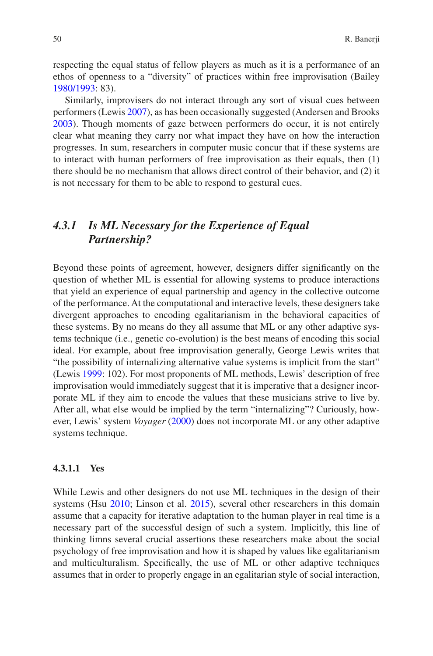respecting the equal status of fellow players as much as it is a performance of an ethos of openness to a "diversity" of practices within free improvisation (Bailey [1980/1993:](#page-20-10) 83).

Similarly, improvisers do not interact through any sort of visual cues between performers (Lewis [2007](#page-22-15)), as has been occasionally suggested (Andersen and Brooks [2003\)](#page-19-2). Though moments of gaze between performers do occur, it is not entirely clear what meaning they carry nor what impact they have on how the interaction progresses. In sum, researchers in computer music concur that if these systems are to interact with human performers of free improvisation as their equals, then (1) there should be no mechanism that allows direct control of their behavior, and (2) it is not necessary for them to be able to respond to gestural cues.

# *4.3.1 Is ML Necessary for the Experience of Equal Partnership?*

Beyond these points of agreement, however, designers differ significantly on the question of whether ML is essential for allowing systems to produce interactions that yield an experience of equal partnership and agency in the collective outcome of the performance. At the computational and interactive levels, these designers take divergent approaches to encoding egalitarianism in the behavioral capacities of these systems. By no means do they all assume that ML or any other adaptive systems technique (i.e., genetic co-evolution) is the best means of encoding this social ideal. For example, about free improvisation generally, George Lewis writes that "the possibility of internalizing alternative value systems is implicit from the start" (Lewis [1999:](#page-22-11) 102). For most proponents of ML methods, Lewis' description of free improvisation would immediately suggest that it is imperative that a designer incorporate ML if they aim to encode the values that these musicians strive to live by. After all, what else would be implied by the term "internalizing"? Curiously, however, Lewis' system *Voyager* ([2000\)](#page-22-0) does not incorporate ML or any other adaptive systems technique.

#### **4.3.1.1 Yes**

While Lewis and other designers do not use ML techniques in the design of their systems (Hsu [2010;](#page-22-16) Linson et al. [2015](#page-22-4)), several other researchers in this domain assume that a capacity for iterative adaptation to the human player in real time is a necessary part of the successful design of such a system. Implicitly, this line of thinking limns several crucial assertions these researchers make about the social psychology of free improvisation and how it is shaped by values like egalitarianism and multiculturalism. Specifically, the use of ML or other adaptive techniques assumes that in order to properly engage in an egalitarian style of social interaction,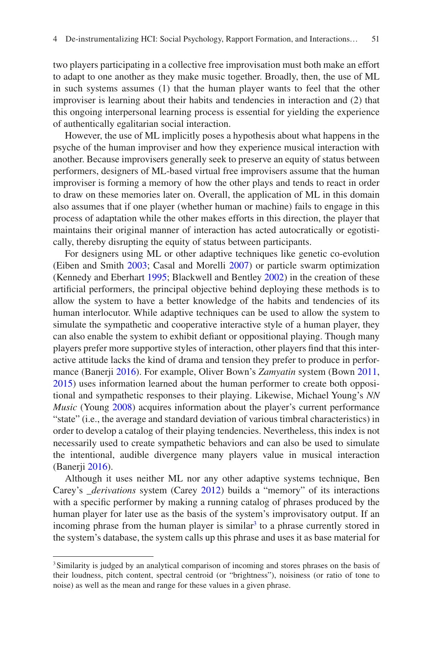two players participating in a collective free improvisation must both make an effort to adapt to one another as they make music together. Broadly, then, the use of ML in such systems assumes (1) that the human player wants to feel that the other improviser is learning about their habits and tendencies in interaction and (2) that this ongoing interpersonal learning process is essential for yielding the experience of authentically egalitarian social interaction.

However, the use of ML implicitly poses a hypothesis about what happens in the psyche of the human improviser and how they experience musical interaction with another. Because improvisers generally seek to preserve an equity of status between performers, designers of ML-based virtual free improvisers assume that the human improviser is forming a memory of how the other plays and tends to react in order to draw on these memories later on. Overall, the application of ML in this domain also assumes that if one player (whether human or machine) fails to engage in this process of adaptation while the other makes efforts in this direction, the player that maintains their original manner of interaction has acted autocratically or egotistically, thereby disrupting the equity of status between participants.

For designers using ML or other adaptive techniques like genetic co-evolution (Eiben and Smith [2003](#page-21-17); Casal and Morelli [2007\)](#page-21-10) or particle swarm optimization (Kennedy and Eberhart [1995;](#page-22-17) Blackwell and Bentley [2002](#page-20-8)) in the creation of these artificial performers, the principal objective behind deploying these methods is to allow the system to have a better knowledge of the habits and tendencies of its human interlocutor. While adaptive techniques can be used to allow the system to simulate the sympathetic and cooperative interactive style of a human player, they can also enable the system to exhibit defiant or oppositional playing. Though many players prefer more supportive styles of interaction, other players find that this interactive attitude lacks the kind of drama and tension they prefer to produce in performance (Banerji [2016](#page-20-14)). For example, Oliver Bown's *Zamyatin* system (Bown [2011](#page-20-9), [2015\)](#page-20-16) uses information learned about the human performer to create both oppositional and sympathetic responses to their playing. Likewise, Michael Young's *NN Music* (Young [2008](#page-23-13)) acquires information about the player's current performance "state" (i.e., the average and standard deviation of various timbral characteristics) in order to develop a catalog of their playing tendencies. Nevertheless, this index is not necessarily used to create sympathetic behaviors and can also be used to simulate the intentional, audible divergence many players value in musical interaction (Banerji [2016](#page-20-14)).

Although it uses neither ML nor any other adaptive systems technique, Ben Carey's *\_derivations* system (Carey [2012](#page-21-11)) builds a "memory" of its interactions with a specific performer by making a running catalog of phrases produced by the human player for later use as the basis of the system's improvisatory output. If an incoming phrase from the human player is similar<sup>3</sup> to a phrase currently stored in the system's database, the system calls up this phrase and uses it as base material for

<span id="page-8-0"></span><sup>&</sup>lt;sup>3</sup>Similarity is judged by an analytical comparison of incoming and stores phrases on the basis of their loudness, pitch content, spectral centroid (or "brightness"), noisiness (or ratio of tone to noise) as well as the mean and range for these values in a given phrase.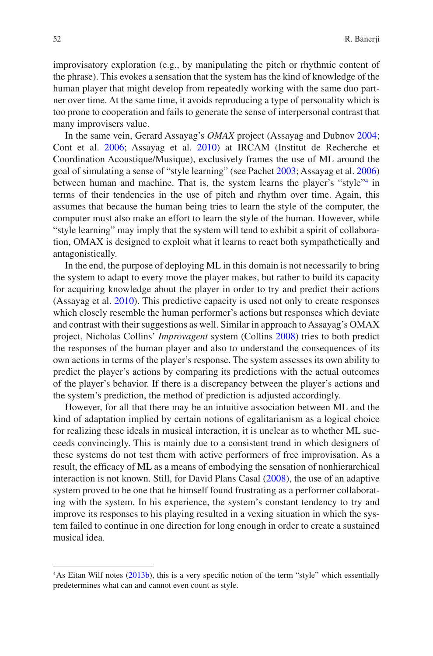improvisatory exploration (e.g., by manipulating the pitch or rhythmic content of the phrase). This evokes a sensation that the system has the kind of knowledge of the human player that might develop from repeatedly working with the same duo partner over time. At the same time, it avoids reproducing a type of personality which is too prone to cooperation and fails to generate the sense of interpersonal contrast that many improvisers value.

In the same vein, Gerard Assayag's *OMAX* project (Assayag and Dubnov [2004;](#page-19-1) Cont et al. [2006](#page-21-18); Assayag et al. [2010](#page-20-17)) at IRCAM (Institut de Recherche et Coordination Acoustique/Musique), exclusively frames the use of ML around the goal of simulating a sense of "style learning" (see Pachet [2003;](#page-23-21) Assayag et al. [2006](#page-19-3)) between human and machine. That is, the system learns the player's "style"[4](#page-9-0) in terms of their tendencies in the use of pitch and rhythm over time. Again, this assumes that because the human being tries to learn the style of the computer, the computer must also make an effort to learn the style of the human. However, while "style learning" may imply that the system will tend to exhibit a spirit of collaboration, OMAX is designed to exploit what it learns to react both sympathetically and antagonistically.

In the end, the purpose of deploying ML in this domain is not necessarily to bring the system to adapt to every move the player makes, but rather to build its capacity for acquiring knowledge about the player in order to try and predict their actions (Assayag et al. [2010](#page-20-17)). This predictive capacity is used not only to create responses which closely resemble the human performer's actions but responses which deviate and contrast with their suggestions as well. Similar in approach to Assayag's OMAX project, Nicholas Collins' *Improvagent* system (Collins [2008\)](#page-21-19) tries to both predict the responses of the human player and also to understand the consequences of its own actions in terms of the player's response. The system assesses its own ability to predict the player's actions by comparing its predictions with the actual outcomes of the player's behavior. If there is a discrepancy between the player's actions and the system's prediction, the method of prediction is adjusted accordingly.

However, for all that there may be an intuitive association between ML and the kind of adaptation implied by certain notions of egalitarianism as a logical choice for realizing these ideals in musical interaction, it is unclear as to whether ML succeeds convincingly. This is mainly due to a consistent trend in which designers of these systems do not test them with active performers of free improvisation. As a result, the efficacy of ML as a means of embodying the sensation of nonhierarchical interaction is not known. Still, for David Plans Casal [\(2008](#page-21-20)), the use of an adaptive system proved to be one that he himself found frustrating as a performer collaborating with the system. In his experience, the system's constant tendency to try and improve its responses to his playing resulted in a vexing situation in which the system failed to continue in one direction for long enough in order to create a sustained musical idea.

<span id="page-9-0"></span><sup>4</sup>As Eitan Wilf notes ([2013b\)](#page-23-4), this is a very specific notion of the term "style" which essentially predetermines what can and cannot even count as style.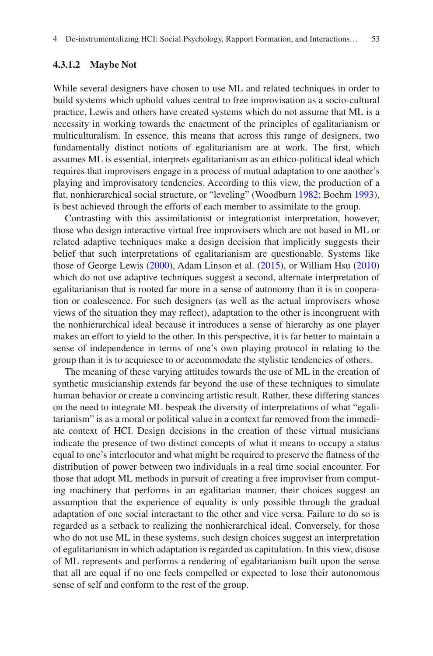#### **4.3.1.2 Maybe Not**

While several designers have chosen to use ML and related techniques in order to build systems which uphold values central to free improvisation as a socio-cultural practice, Lewis and others have created systems which do not assume that ML is a necessity in working towards the enactment of the principles of egalitarianism or multiculturalism. In essence, this means that across this range of designers, two fundamentally distinct notions of egalitarianism are at work. The first, which assumes ML is essential, interprets egalitarianism as an ethico-political ideal which requires that improvisers engage in a process of mutual adaptation to one another's playing and improvisatory tendencies. According to this view, the production of a flat, nonhierarchical social structure, or "leveling" (Woodburn [1982](#page-23-22); Boehm [1993\)](#page-20-18), is best achieved through the efforts of each member to assimilate to the group.

Contrasting with this assimilationist or integrationist interpretation, however, those who design interactive virtual free improvisers which are not based in ML or related adaptive techniques make a design decision that implicitly suggests their belief that such interpretations of egalitarianism are questionable. Systems like those of George Lewis ([2000\)](#page-22-0), Adam Linson et al. ([2015\)](#page-22-4), or William Hsu [\(2010](#page-22-16)) which do not use adaptive techniques suggest a second, alternate interpretation of egalitarianism that is rooted far more in a sense of autonomy than it is in cooperation or coalescence. For such designers (as well as the actual improvisers whose views of the situation they may reflect), adaptation to the other is incongruent with the nonhierarchical ideal because it introduces a sense of hierarchy as one player makes an effort to yield to the other. In this perspective, it is far better to maintain a sense of independence in terms of one's own playing protocol in relating to the group than it is to acquiesce to or accommodate the stylistic tendencies of others.

The meaning of these varying attitudes towards the use of ML in the creation of synthetic musicianship extends far beyond the use of these techniques to simulate human behavior or create a convincing artistic result. Rather, these differing stances on the need to integrate ML bespeak the diversity of interpretations of what "egalitarianism" is as a moral or political value in a context far removed from the immediate context of HCI. Design decisions in the creation of these virtual musicians indicate the presence of two distinct concepts of what it means to occupy a status equal to one's interlocutor and what might be required to preserve the flatness of the distribution of power between two individuals in a real time social encounter. For those that adopt ML methods in pursuit of creating a free improviser from computing machinery that performs in an egalitarian manner, their choices suggest an assumption that the experience of equality is only possible through the gradual adaptation of one social interactant to the other and vice versa. Failure to do so is regarded as a setback to realizing the nonhierarchical ideal. Conversely, for those who do not use ML in these systems, such design choices suggest an interpretation of egalitarianism in which adaptation is regarded as capitulation. In this view, disuse of ML represents and performs a rendering of egalitarianism built upon the sense that all are equal if no one feels compelled or expected to lose their autonomous sense of self and conform to the rest of the group.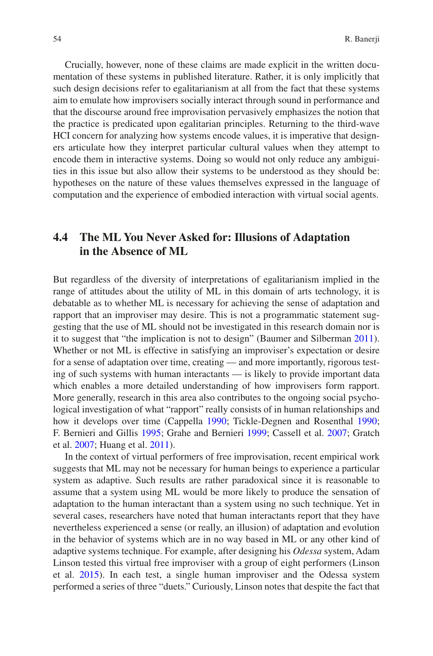Crucially, however, none of these claims are made explicit in the written documentation of these systems in published literature. Rather, it is only implicitly that such design decisions refer to egalitarianism at all from the fact that these systems aim to emulate how improvisers socially interact through sound in performance and that the discourse around free improvisation pervasively emphasizes the notion that the practice is predicated upon egalitarian principles. Returning to the third-wave HCI concern for analyzing how systems encode values, it is imperative that designers articulate how they interpret particular cultural values when they attempt to encode them in interactive systems. Doing so would not only reduce any ambiguities in this issue but also allow their systems to be understood as they should be: hypotheses on the nature of these values themselves expressed in the language of computation and the experience of embodied interaction with virtual social agents.

# **4.4 The ML You Never Asked for: Illusions of Adaptation in the Absence of ML**

But regardless of the diversity of interpretations of egalitarianism implied in the range of attitudes about the utility of ML in this domain of arts technology, it is debatable as to whether ML is necessary for achieving the sense of adaptation and rapport that an improviser may desire. This is not a programmatic statement suggesting that the use of ML should not be investigated in this research domain nor is it to suggest that "the implication is not to design" (Baumer and Silberman [2011\)](#page-20-19). Whether or not ML is effective in satisfying an improviser's expectation or desire for a sense of adaptation over time, creating — and more importantly, rigorous testing of such systems with human interactants — is likely to provide important data which enables a more detailed understanding of how improvisers form rapport. More generally, research in this area also contributes to the ongoing social psychological investigation of what "rapport" really consists of in human relationships and how it develops over time (Cappella [1990;](#page-21-3) Tickle-Degnen and Rosenthal [1990;](#page-23-9) F. Bernieri and Gillis [1995](#page-20-4); Grahe and Bernieri [1999;](#page-22-5) Cassell et al. [2007](#page-21-21); Gratch et al. [2007;](#page-22-18) Huang et al. [2011](#page-22-19)).

In the context of virtual performers of free improvisation, recent empirical work suggests that ML may not be necessary for human beings to experience a particular system as adaptive. Such results are rather paradoxical since it is reasonable to assume that a system using ML would be more likely to produce the sensation of adaptation to the human interactant than a system using no such technique. Yet in several cases, researchers have noted that human interactants report that they have nevertheless experienced a sense (or really, an illusion) of adaptation and evolution in the behavior of systems which are in no way based in ML or any other kind of adaptive systems technique. For example, after designing his *Odessa* system, Adam Linson tested this virtual free improviser with a group of eight performers (Linson et al. [2015\)](#page-22-4). In each test, a single human improviser and the Odessa system performed a series of three "duets." Curiously, Linson notes that despite the fact that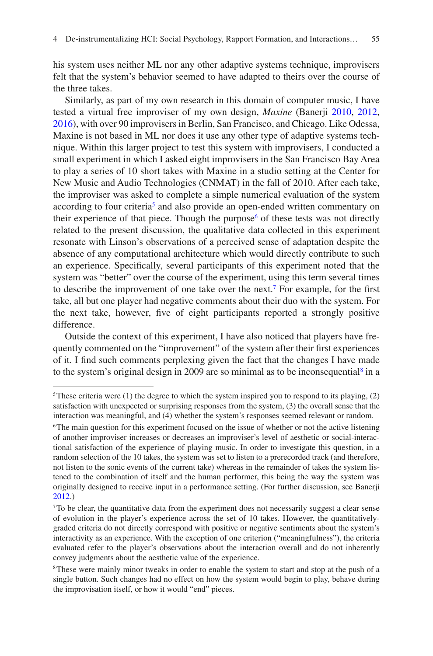his system uses neither ML nor any other adaptive systems technique, improvisers felt that the system's behavior seemed to have adapted to theirs over the course of the three takes.

Similarly, as part of my own research in this domain of computer music, I have tested a virtual free improviser of my own design, *Maxine* (Banerji [2010,](#page-20-20) [2012](#page-20-2), [2016\)](#page-20-14), with over 90 improvisers in Berlin, San Francisco, and Chicago. Like Odessa, Maxine is not based in ML nor does it use any other type of adaptive systems technique. Within this larger project to test this system with improvisers, I conducted a small experiment in which I asked eight improvisers in the San Francisco Bay Area to play a series of 10 short takes with Maxine in a studio setting at the Center for New Music and Audio Technologies (CNMAT) in the fall of 2010. After each take, the improviser was asked to complete a simple numerical evaluation of the system according to four criteria<sup>[5](#page-12-0)</sup> and also provide an open-ended written commentary on their experience of that piece. Though the purpose<sup>[6](#page-12-1)</sup> of these tests was not directly related to the present discussion, the qualitative data collected in this experiment resonate with Linson's observations of a perceived sense of adaptation despite the absence of any computational architecture which would directly contribute to such an experience. Specifically, several participants of this experiment noted that the system was "better" over the course of the experiment, using this term several times to describe the improvement of one take over the next[.7](#page-12-2) For example, for the first take, all but one player had negative comments about their duo with the system. For the next take, however, five of eight participants reported a strongly positive difference.

Outside the context of this experiment, I have also noticed that players have frequently commented on the "improvement" of the system after their first experiences of it. I find such comments perplexing given the fact that the changes I have made to the system's original design in 2009 are so minimal as to be inconsequential<sup>[8](#page-12-3)</sup> in a

<span id="page-12-0"></span><sup>&</sup>lt;sup>5</sup>These criteria were (1) the degree to which the system inspired you to respond to its playing, (2) satisfaction with unexpected or surprising responses from the system, (3) the overall sense that the interaction was meaningful, and (4) whether the system's responses seemed relevant or random.

<span id="page-12-1"></span><sup>&</sup>lt;sup>6</sup>The main question for this experiment focused on the issue of whether or not the active listening of another improviser increases or decreases an improviser's level of aesthetic or social-interactional satisfaction of the experience of playing music. In order to investigate this question, in a random selection of the 10 takes, the system was set to listen to a prerecorded track (and therefore, not listen to the sonic events of the current take) whereas in the remainder of takes the system listened to the combination of itself and the human performer, this being the way the system was originally designed to receive input in a performance setting. (For further discussion, see Banerji [2012.](#page-20-2))

<span id="page-12-2"></span><sup>7</sup>To be clear, the quantitative data from the experiment does not necessarily suggest a clear sense of evolution in the player's experience across the set of 10 takes. However, the quantitativelygraded criteria do not directly correspond with positive or negative sentiments about the system's interactivity as an experience. With the exception of one criterion ("meaningfulness"), the criteria evaluated refer to the player's observations about the interaction overall and do not inherently convey judgments about the aesthetic value of the experience.

<span id="page-12-3"></span><sup>&</sup>lt;sup>8</sup>These were mainly minor tweaks in order to enable the system to start and stop at the push of a single button. Such changes had no effect on how the system would begin to play, behave during the improvisation itself, or how it would "end" pieces.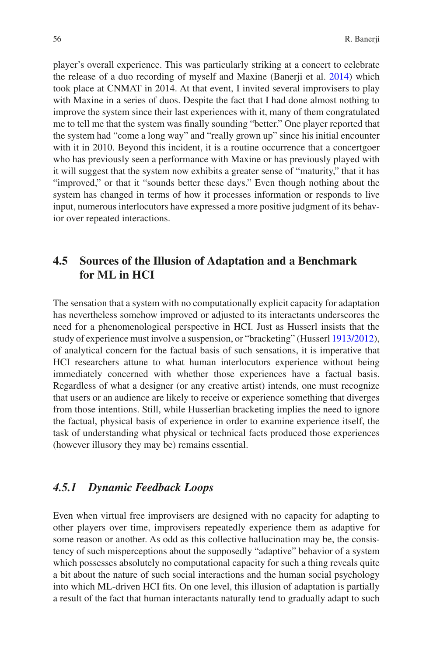player's overall experience. This was particularly striking at a concert to celebrate the release of a duo recording of myself and Maxine (Banerji et al. [2014](#page-20-21)) which took place at CNMAT in 2014. At that event, I invited several improvisers to play with Maxine in a series of duos. Despite the fact that I had done almost nothing to improve the system since their last experiences with it, many of them congratulated me to tell me that the system was finally sounding "better." One player reported that the system had "come a long way" and "really grown up" since his initial encounter with it in 2010. Beyond this incident, it is a routine occurrence that a concertgoer who has previously seen a performance with Maxine or has previously played with it will suggest that the system now exhibits a greater sense of "maturity," that it has "improved," or that it "sounds better these days." Even though nothing about the system has changed in terms of how it processes information or responds to live input, numerous interlocutors have expressed a more positive judgment of its behavior over repeated interactions.

# **4.5 Sources of the Illusion of Adaptation and a Benchmark for ML in HCI**

The sensation that a system with no computationally explicit capacity for adaptation has nevertheless somehow improved or adjusted to its interactants underscores the need for a phenomenological perspective in HCI. Just as Husserl insists that the study of experience must involve a suspension, or "bracketing" (Husserl [1913/2012\)](#page-22-7), of analytical concern for the factual basis of such sensations, it is imperative that HCI researchers attune to what human interlocutors experience without being immediately concerned with whether those experiences have a factual basis. Regardless of what a designer (or any creative artist) intends, one must recognize that users or an audience are likely to receive or experience something that diverges from those intentions. Still, while Husserlian bracketing implies the need to ignore the factual, physical basis of experience in order to examine experience itself, the task of understanding what physical or technical facts produced those experiences (however illusory they may be) remains essential.

### *4.5.1 Dynamic Feedback Loops*

Even when virtual free improvisers are designed with no capacity for adapting to other players over time, improvisers repeatedly experience them as adaptive for some reason or another. As odd as this collective hallucination may be, the consistency of such misperceptions about the supposedly "adaptive" behavior of a system which possesses absolutely no computational capacity for such a thing reveals quite a bit about the nature of such social interactions and the human social psychology into which ML-driven HCI fits. On one level, this illusion of adaptation is partially a result of the fact that human interactants naturally tend to gradually adapt to such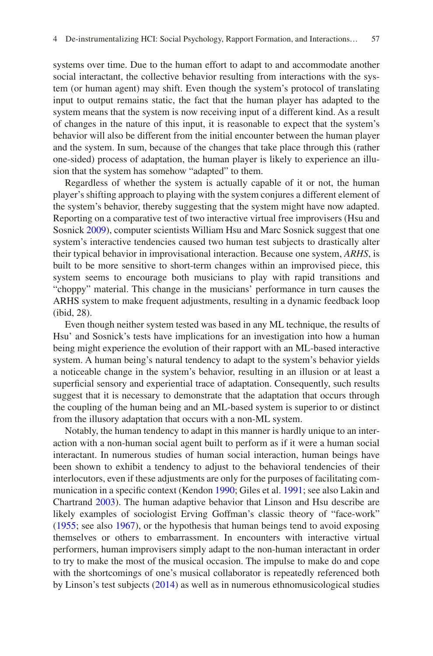systems over time. Due to the human effort to adapt to and accommodate another social interactant, the collective behavior resulting from interactions with the system (or human agent) may shift. Even though the system's protocol of translating input to output remains static, the fact that the human player has adapted to the system means that the system is now receiving input of a different kind. As a result of changes in the nature of this input, it is reasonable to expect that the system's behavior will also be different from the initial encounter between the human player and the system. In sum, because of the changes that take place through this (rather one-sided) process of adaptation, the human player is likely to experience an illusion that the system has somehow "adapted" to them.

Regardless of whether the system is actually capable of it or not, the human player's shifting approach to playing with the system conjures a different element of the system's behavior, thereby suggesting that the system might have now adapted. Reporting on a comparative test of two interactive virtual free improvisers (Hsu and Sosnick [2009\)](#page-22-3), computer scientists William Hsu and Marc Sosnick suggest that one system's interactive tendencies caused two human test subjects to drastically alter their typical behavior in improvisational interaction. Because one system, *ARHS*, is built to be more sensitive to short-term changes within an improvised piece, this system seems to encourage both musicians to play with rapid transitions and "choppy" material. This change in the musicians' performance in turn causes the ARHS system to make frequent adjustments, resulting in a dynamic feedback loop (ibid, 28).

Even though neither system tested was based in any ML technique, the results of Hsu' and Sosnick's tests have implications for an investigation into how a human being might experience the evolution of their rapport with an ML-based interactive system. A human being's natural tendency to adapt to the system's behavior yields a noticeable change in the system's behavior, resulting in an illusion or at least a superficial sensory and experiential trace of adaptation. Consequently, such results suggest that it is necessary to demonstrate that the adaptation that occurs through the coupling of the human being and an ML-based system is superior to or distinct from the illusory adaptation that occurs with a non-ML system.

Notably, the human tendency to adapt in this manner is hardly unique to an interaction with a non-human social agent built to perform as if it were a human social interactant. In numerous studies of human social interaction, human beings have been shown to exhibit a tendency to adjust to the behavioral tendencies of their interlocutors, even if these adjustments are only for the purposes of facilitating communication in a specific context (Kendon [1990](#page-22-20); Giles et al. [1991;](#page-21-22) see also Lakin and Chartrand [2003](#page-22-6)). The human adaptive behavior that Linson and Hsu describe are likely examples of sociologist Erving Goffman's classic theory of "face-work" [\(1955](#page-21-23); see also [1967](#page-21-24)), or the hypothesis that human beings tend to avoid exposing themselves or others to embarrassment. In encounters with interactive virtual performers, human improvisers simply adapt to the non-human interactant in order to try to make the most of the musical occasion. The impulse to make do and cope with the shortcomings of one's musical collaborator is repeatedly referenced both by Linson's test subjects ([2014\)](#page-22-21) as well as in numerous ethnomusicological studies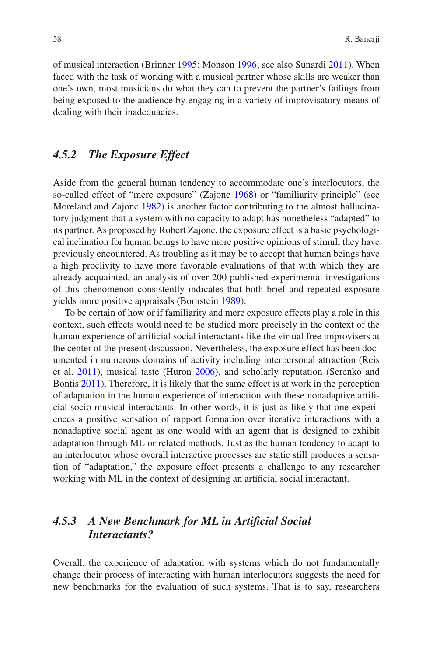of musical interaction (Brinner [1995](#page-20-22); Monson [1996;](#page-22-22) see also Sunardi [2011\)](#page-23-23). When faced with the task of working with a musical partner whose skills are weaker than one's own, most musicians do what they can to prevent the partner's failings from being exposed to the audience by engaging in a variety of improvisatory means of dealing with their inadequacies.

### *4.5.2 The Exposure Effect*

Aside from the general human tendency to accommodate one's interlocutors, the so-called effect of "mere exposure" (Zajonc [1968](#page-23-6)) or "familiarity principle" (see Moreland and Zajonc [1982\)](#page-22-23) is another factor contributing to the almost hallucinatory judgment that a system with no capacity to adapt has nonetheless "adapted" to its partner. As proposed by Robert Zajonc, the exposure effect is a basic psychological inclination for human beings to have more positive opinions of stimuli they have previously encountered. As troubling as it may be to accept that human beings have a high proclivity to have more favorable evaluations of that with which they are already acquainted, an analysis of over 200 published experimental investigations of this phenomenon consistently indicates that both brief and repeated exposure yields more positive appraisals (Bornstein [1989](#page-20-23)).

To be certain of how or if familiarity and mere exposure effects play a role in this context, such effects would need to be studied more precisely in the context of the human experience of artificial social interactants like the virtual free improvisers at the center of the present discussion. Nevertheless, the exposure effect has been documented in numerous domains of activity including interpersonal attraction (Reis et al. [2011\)](#page-23-24), musical taste (Huron [2006](#page-22-24)), and scholarly reputation (Serenko and Bontis [2011](#page-23-25)). Therefore, it is likely that the same effect is at work in the perception of adaptation in the human experience of interaction with these nonadaptive artificial socio-musical interactants. In other words, it is just as likely that one experiences a positive sensation of rapport formation over iterative interactions with a nonadaptive social agent as one would with an agent that is designed to exhibit adaptation through ML or related methods. Just as the human tendency to adapt to an interlocutor whose overall interactive processes are static still produces a sensation of "adaptation," the exposure effect presents a challenge to any researcher working with ML in the context of designing an artificial social interactant.

# *4.5.3 A New Benchmark for ML in Artificial Social Interactants?*

Overall, the experience of adaptation with systems which do not fundamentally change their process of interacting with human interlocutors suggests the need for new benchmarks for the evaluation of such systems. That is to say, researchers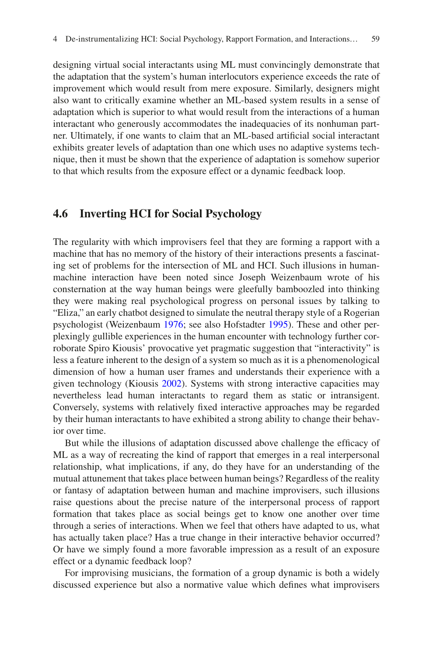59

designing virtual social interactants using ML must convincingly demonstrate that the adaptation that the system's human interlocutors experience exceeds the rate of improvement which would result from mere exposure. Similarly, designers might also want to critically examine whether an ML-based system results in a sense of adaptation which is superior to what would result from the interactions of a human interactant who generously accommodates the inadequacies of its nonhuman partner. Ultimately, if one wants to claim that an ML-based artificial social interactant exhibits greater levels of adaptation than one which uses no adaptive systems technique, then it must be shown that the experience of adaptation is somehow superior to that which results from the exposure effect or a dynamic feedback loop.

#### **4.6 Inverting HCI for Social Psychology**

The regularity with which improvisers feel that they are forming a rapport with a machine that has no memory of the history of their interactions presents a fascinating set of problems for the intersection of ML and HCI. Such illusions in humanmachine interaction have been noted since Joseph Weizenbaum wrote of his consternation at the way human beings were gleefully bamboozled into thinking they were making real psychological progress on personal issues by talking to "Eliza," an early chatbot designed to simulate the neutral therapy style of a Rogerian psychologist (Weizenbaum [1976](#page-23-26); see also Hofstadter [1995](#page-22-25)). These and other perplexingly gullible experiences in the human encounter with technology further corroborate Spiro Kiousis' provocative yet pragmatic suggestion that "interactivity" is less a feature inherent to the design of a system so much as it is a phenomenological dimension of how a human user frames and understands their experience with a given technology (Kiousis [2002](#page-22-26)). Systems with strong interactive capacities may nevertheless lead human interactants to regard them as static or intransigent. Conversely, systems with relatively fixed interactive approaches may be regarded by their human interactants to have exhibited a strong ability to change their behavior over time.

But while the illusions of adaptation discussed above challenge the efficacy of ML as a way of recreating the kind of rapport that emerges in a real interpersonal relationship, what implications, if any, do they have for an understanding of the mutual attunement that takes place between human beings? Regardless of the reality or fantasy of adaptation between human and machine improvisers, such illusions raise questions about the precise nature of the interpersonal process of rapport formation that takes place as social beings get to know one another over time through a series of interactions. When we feel that others have adapted to us, what has actually taken place? Has a true change in their interactive behavior occurred? Or have we simply found a more favorable impression as a result of an exposure effect or a dynamic feedback loop?

For improvising musicians, the formation of a group dynamic is both a widely discussed experience but also a normative value which defines what improvisers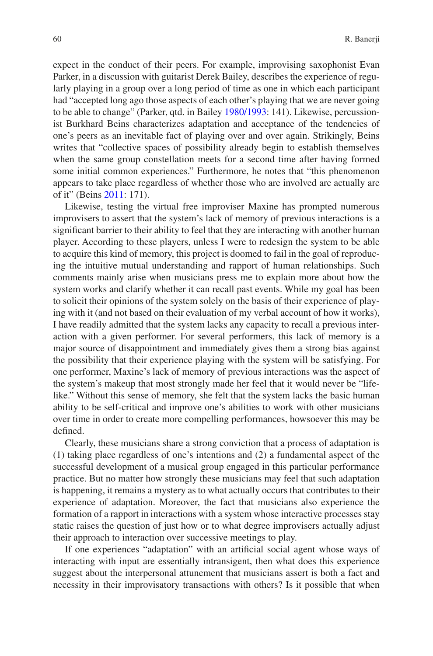expect in the conduct of their peers. For example, improvising saxophonist Evan Parker, in a discussion with guitarist Derek Bailey, describes the experience of regularly playing in a group over a long period of time as one in which each participant had "accepted long ago those aspects of each other's playing that we are never going to be able to change" (Parker, qtd. in Bailey [1980/1993:](#page-20-10) 141). Likewise, percussionist Burkhard Beins characterizes adaptation and acceptance of the tendencies of one's peers as an inevitable fact of playing over and over again. Strikingly, Beins writes that "collective spaces of possibility already begin to establish themselves when the same group constellation meets for a second time after having formed some initial common experiences." Furthermore, he notes that "this phenomenon appears to take place regardless of whether those who are involved are actually are of it" (Beins [2011:](#page-20-3) 171).

Likewise, testing the virtual free improviser Maxine has prompted numerous improvisers to assert that the system's lack of memory of previous interactions is a significant barrier to their ability to feel that they are interacting with another human player. According to these players, unless I were to redesign the system to be able to acquire this kind of memory, this project is doomed to fail in the goal of reproducing the intuitive mutual understanding and rapport of human relationships. Such comments mainly arise when musicians press me to explain more about how the system works and clarify whether it can recall past events. While my goal has been to solicit their opinions of the system solely on the basis of their experience of playing with it (and not based on their evaluation of my verbal account of how it works), I have readily admitted that the system lacks any capacity to recall a previous interaction with a given performer. For several performers, this lack of memory is a major source of disappointment and immediately gives them a strong bias against the possibility that their experience playing with the system will be satisfying. For one performer, Maxine's lack of memory of previous interactions was the aspect of the system's makeup that most strongly made her feel that it would never be "lifelike." Without this sense of memory, she felt that the system lacks the basic human ability to be self-critical and improve one's abilities to work with other musicians over time in order to create more compelling performances, howsoever this may be defined.

Clearly, these musicians share a strong conviction that a process of adaptation is (1) taking place regardless of one's intentions and (2) a fundamental aspect of the successful development of a musical group engaged in this particular performance practice. But no matter how strongly these musicians may feel that such adaptation is happening, it remains a mystery as to what actually occurs that contributes to their experience of adaptation. Moreover, the fact that musicians also experience the formation of a rapport in interactions with a system whose interactive processes stay static raises the question of just how or to what degree improvisers actually adjust their approach to interaction over successive meetings to play.

If one experiences "adaptation" with an artificial social agent whose ways of interacting with input are essentially intransigent, then what does this experience suggest about the interpersonal attunement that musicians assert is both a fact and necessity in their improvisatory transactions with others? Is it possible that when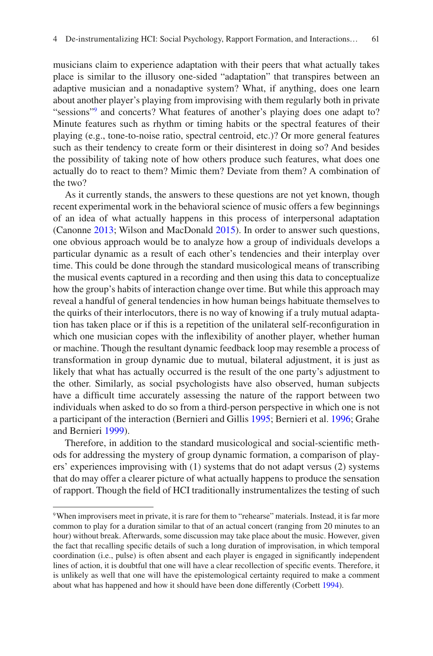musicians claim to experience adaptation with their peers that what actually takes place is similar to the illusory one-sided "adaptation" that transpires between an adaptive musician and a nonadaptive system? What, if anything, does one learn about another player's playing from improvising with them regularly both in private "sessions"<sup>[9](#page-18-0)</sup> and concerts? What features of another's playing does one adapt to? Minute features such as rhythm or timing habits or the spectral features of their playing (e.g., tone-to-noise ratio, spectral centroid, etc.)? Or more general features such as their tendency to create form or their disinterest in doing so? And besides the possibility of taking note of how others produce such features, what does one actually do to react to them? Mimic them? Deviate from them? A combination of the two?

As it currently stands, the answers to these questions are not yet known, though recent experimental work in the behavioral science of music offers a few beginnings of an idea of what actually happens in this process of interpersonal adaptation (Canonne [2013](#page-20-24); Wilson and MacDonald [2015](#page-23-27)). In order to answer such questions, one obvious approach would be to analyze how a group of individuals develops a particular dynamic as a result of each other's tendencies and their interplay over time. This could be done through the standard musicological means of transcribing the musical events captured in a recording and then using this data to conceptualize how the group's habits of interaction change over time. But while this approach may reveal a handful of general tendencies in how human beings habituate themselves to the quirks of their interlocutors, there is no way of knowing if a truly mutual adaptation has taken place or if this is a repetition of the unilateral self-reconfiguration in which one musician copes with the inflexibility of another player, whether human or machine. Though the resultant dynamic feedback loop may resemble a process of transformation in group dynamic due to mutual, bilateral adjustment, it is just as likely that what has actually occurred is the result of the one party's adjustment to the other. Similarly, as social psychologists have also observed, human subjects have a difficult time accurately assessing the nature of the rapport between two individuals when asked to do so from a third-person perspective in which one is not a participant of the interaction (Bernieri and Gillis [1995;](#page-20-4) Bernieri et al. [1996](#page-20-5); Grahe and Bernieri [1999](#page-22-5)).

Therefore, in addition to the standard musicological and social-scientific methods for addressing the mystery of group dynamic formation, a comparison of players' experiences improvising with (1) systems that do not adapt versus (2) systems that do may offer a clearer picture of what actually happens to produce the sensation of rapport. Though the field of HCI traditionally instrumentalizes the testing of such

<span id="page-18-0"></span><sup>9</sup>When improvisers meet in private, it is rare for them to "rehearse" materials. Instead, it is far more common to play for a duration similar to that of an actual concert (ranging from 20 minutes to an hour) without break. Afterwards, some discussion may take place about the music. However, given the fact that recalling specific details of such a long duration of improvisation, in which temporal coordination (i.e., pulse) is often absent and each player is engaged in significantly independent lines of action, it is doubtful that one will have a clear recollection of specific events. Therefore, it is unlikely as well that one will have the epistemological certainty required to make a comment about what has happened and how it should have been done differently (Corbett [1994](#page-21-25)).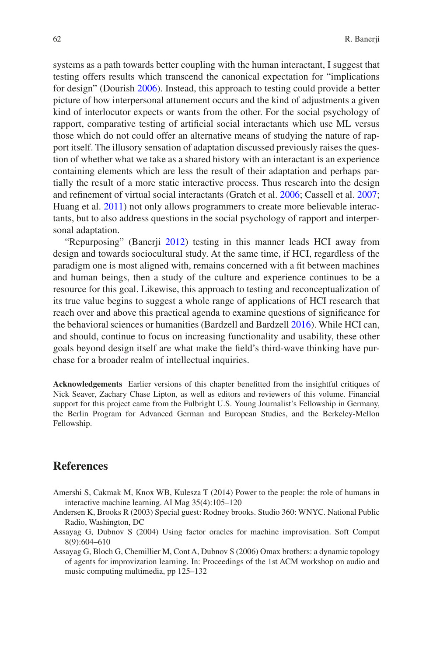systems as a path towards better coupling with the human interactant, I suggest that testing offers results which transcend the canonical expectation for "implications for design" (Dourish [2006](#page-21-4)). Instead, this approach to testing could provide a better picture of how interpersonal attunement occurs and the kind of adjustments a given kind of interlocutor expects or wants from the other. For the social psychology of rapport, comparative testing of artificial social interactants which use ML versus those which do not could offer an alternative means of studying the nature of rapport itself. The illusory sensation of adaptation discussed previously raises the question of whether what we take as a shared history with an interactant is an experience containing elements which are less the result of their adaptation and perhaps partially the result of a more static interactive process. Thus research into the design and refinement of virtual social interactants (Gratch et al. [2006](#page-22-27); Cassell et al. [2007;](#page-21-21) Huang et al. [2011](#page-22-19)) not only allows programmers to create more believable interactants, but to also address questions in the social psychology of rapport and interpersonal adaptation.

"Repurposing" (Banerji [2012\)](#page-20-2) testing in this manner leads HCI away from design and towards sociocultural study. At the same time, if HCI, regardless of the paradigm one is most aligned with, remains concerned with a fit between machines and human beings, then a study of the culture and experience continues to be a resource for this goal. Likewise, this approach to testing and reconceptualization of its true value begins to suggest a whole range of applications of HCI research that reach over and above this practical agenda to examine questions of significance for the behavioral sciences or humanities (Bardzell and Bardzell [2016\)](#page-20-25). While HCI can, and should, continue to focus on increasing functionality and usability, these other goals beyond design itself are what make the field's third-wave thinking have purchase for a broader realm of intellectual inquiries.

**Acknowledgements** Earlier versions of this chapter benefitted from the insightful critiques of Nick Seaver, Zachary Chase Lipton, as well as editors and reviewers of this volume. Financial support for this project came from the Fulbright U.S. Young Journalist's Fellowship in Germany, the Berlin Program for Advanced German and European Studies, and the Berkeley-Mellon Fellowship.

#### **References**

- <span id="page-19-0"></span>Amershi S, Cakmak M, Knox WB, Kulesza T (2014) Power to the people: the role of humans in interactive machine learning. AI Mag 35(4):105–120
- <span id="page-19-2"></span>Andersen K, Brooks R (2003) Special guest: Rodney brooks. Studio 360: WNYC. National Public Radio, Washington, DC
- <span id="page-19-1"></span>Assayag G, Dubnov S (2004) Using factor oracles for machine improvisation. Soft Comput 8(9):604–610
- <span id="page-19-3"></span>Assayag G, Bloch G, Chemillier M, Cont A, Dubnov S (2006) Omax brothers: a dynamic topology of agents for improvization learning. In: Proceedings of the 1st ACM workshop on audio and music computing multimedia, pp 125–132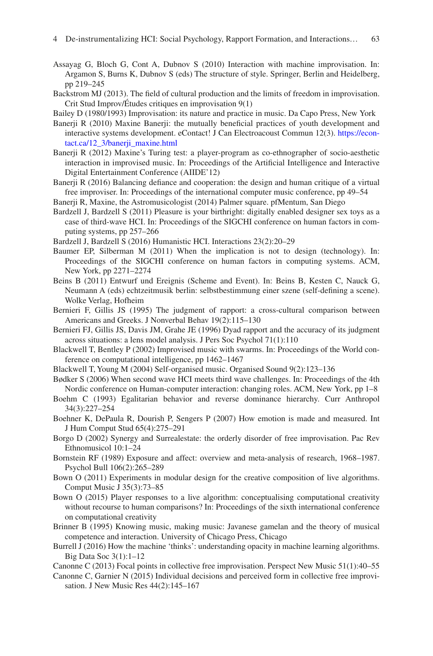- <span id="page-20-17"></span>Assayag G, Bloch G, Cont A, Dubnov S (2010) Interaction with machine improvisation. In: Argamon S, Burns K, Dubnov S (eds) The structure of style. Springer, Berlin and Heidelberg, pp 219–245
- <span id="page-20-12"></span>Backstrom MJ (2013). The field of cultural production and the limits of freedom in improvisation. Crit Stud Improv/Études critiques en improvisation 9(1)
- <span id="page-20-10"></span>Bailey D (1980/1993) Improvisation: its nature and practice in music. Da Capo Press, New York
- <span id="page-20-20"></span>Banerji R (2010) Maxine Banerji: the mutually beneficial practices of youth development and interactive systems development. eContact! J Can Electroacoust Commun 12(3). [https://econ](https://econtact.ca/12_3/banerji_maxine.html)[tact.ca/12\\_3/banerji\\_maxine.html](https://econtact.ca/12_3/banerji_maxine.html)
- <span id="page-20-2"></span>Banerji R (2012) Maxine's Turing test: a player-program as co-ethnographer of socio-aesthetic interaction in improvised music. In: Proceedings of the Artificial Intelligence and Interactive Digital Entertainment Conference (AIIDE'12)
- <span id="page-20-14"></span>Banerji R (2016) Balancing defiance and cooperation: the design and human critique of a virtual free improviser. In: Proceedings of the international computer music conference, pp 49–54
- <span id="page-20-21"></span>Banerji R, Maxine, the Astromusicologist (2014) Palmer square. pfMentum, San Diego
- <span id="page-20-6"></span>Bardzell J, Bardzell S (2011) Pleasure is your birthright: digitally enabled designer sex toys as a case of third-wave HCI. In: Proceedings of the SIGCHI conference on human factors in computing systems, pp 257–266
- <span id="page-20-25"></span>Bardzell J, Bardzell S (2016) Humanistic HCI. Interactions 23(2):20–29
- <span id="page-20-19"></span>Baumer EP, Silberman M (2011) When the implication is not to design (technology). In: Proceedings of the SIGCHI conference on human factors in computing systems. ACM, New York, pp 2271–2274
- <span id="page-20-3"></span>Beins B (2011) Entwurf und Ereignis (Scheme and Event). In: Beins B, Kesten C, Nauck G, Neumann A (eds) echtzeitmusik berlin: selbstbestimmung einer szene (self-defining a scene). Wolke Verlag, Hofheim
- <span id="page-20-4"></span>Bernieri F, Gillis JS (1995) The judgment of rapport: a cross-cultural comparison between Americans and Greeks. J Nonverbal Behav 19(2):115–130
- <span id="page-20-5"></span>Bernieri FJ, Gillis JS, Davis JM, Grahe JE (1996) Dyad rapport and the accuracy of its judgment across situations: a lens model analysis. J Pers Soc Psychol 71(1):110
- <span id="page-20-8"></span>Blackwell T, Bentley P (2002) Improvised music with swarms. In: Proceedings of the World conference on computational intelligence, pp 1462–1467
- <span id="page-20-11"></span>Blackwell T, Young M (2004) Self-organised music. Organised Sound 9(2):123–136
- <span id="page-20-1"></span>Bødker S (2006) When second wave HCI meets third wave challenges. In: Proceedings of the 4th Nordic conference on Human-computer interaction: changing roles. ACM, New York, pp 1–8
- <span id="page-20-18"></span>Boehm C (1993) Egalitarian behavior and reverse dominance hierarchy. Curr Anthropol 34(3):227–254
- <span id="page-20-7"></span>Boehner K, DePaula R, Dourish P, Sengers P (2007) How emotion is made and measured. Int J Hum Comput Stud 65(4):275–291
- <span id="page-20-15"></span>Borgo D (2002) Synergy and Surrealestate: the orderly disorder of free improvisation. Pac Rev Ethnomusicol 10:1–24
- <span id="page-20-23"></span>Bornstein RF (1989) Exposure and affect: overview and meta-analysis of research, 1968–1987. Psychol Bull 106(2):265–289
- <span id="page-20-9"></span>Bown O (2011) Experiments in modular design for the creative composition of live algorithms. Comput Music J 35(3):73–85
- <span id="page-20-16"></span>Bown O (2015) Player responses to a live algorithm: conceptualising computational creativity without recourse to human comparisons? In: Proceedings of the sixth international conference on computational creativity
- <span id="page-20-22"></span>Brinner B (1995) Knowing music, making music: Javanese gamelan and the theory of musical competence and interaction. University of Chicago Press, Chicago
- <span id="page-20-0"></span>Burrell J (2016) How the machine 'thinks': understanding opacity in machine learning algorithms. Big Data Soc 3(1):1–12
- <span id="page-20-24"></span>Canonne C (2013) Focal points in collective free improvisation. Perspect New Music 51(1):40–55
- <span id="page-20-13"></span>Canonne C, Garnier N (2015) Individual decisions and perceived form in collective free improvisation. J New Music Res 44(2):145–167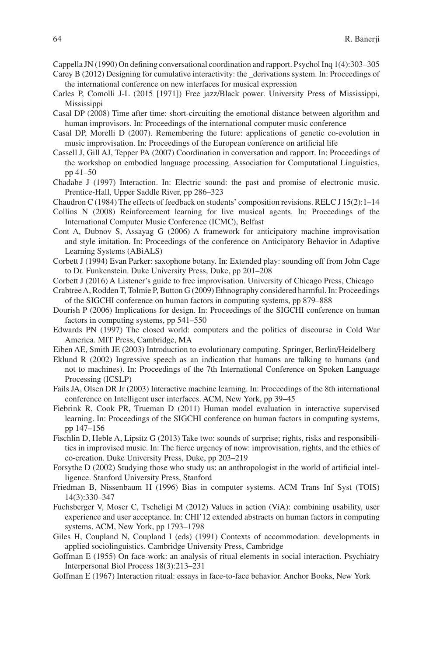<span id="page-21-3"></span>Cappella JN (1990) On defining conversational coordination and rapport. Psychol Inq 1(4):303–305

- <span id="page-21-11"></span>Carey B (2012) Designing for cumulative interactivity: the \_derivations system. In: Proceedings of the international conference on new interfaces for musical expression
- <span id="page-21-12"></span>Carles P, Comolli J-L (2015 [1971]) Free jazz/Black power. University Press of Mississippi, Mississippi
- <span id="page-21-20"></span>Casal DP (2008) Time after time: short-circuiting the emotional distance between algorithm and human improvisors. In: Proceedings of the international computer music conference
- <span id="page-21-10"></span>Casal DP, Morelli D (2007). Remembering the future: applications of genetic co-evolution in music improvisation. In: Proceedings of the European conference on artificial life
- <span id="page-21-21"></span>Cassell J, Gill AJ, Tepper PA (2007) Coordination in conversation and rapport. In: Proceedings of the workshop on embodied language processing. Association for Computational Linguistics, pp 41–50
- <span id="page-21-14"></span>Chadabe J (1997) Interaction. In: Electric sound: the past and promise of electronic music. Prentice-Hall, Upper Saddle River, pp 286–323
- <span id="page-21-16"></span>Chaudron C (1984) The effects of feedback on students' composition revisions. RELC J 15(2):1–14
- <span id="page-21-19"></span>Collins N (2008) Reinforcement learning for live musical agents. In: Proceedings of the International Computer Music Conference (ICMC), Belfast
- <span id="page-21-18"></span>Cont A, Dubnov S, Assayag G (2006) A framework for anticipatory machine improvisation and style imitation. In: Proceedings of the conference on Anticipatory Behavior in Adaptive Learning Systems (ABiALS)
- <span id="page-21-25"></span>Corbett J (1994) Evan Parker: saxophone botany. In: Extended play: sounding off from John Cage to Dr. Funkenstein. Duke University Press, Duke, pp 201–208
- <span id="page-21-13"></span>Corbett J (2016) A Listener's guide to free improvisation. University of Chicago Press, Chicago
- <span id="page-21-5"></span>Crabtree A, Rodden T, Tolmie P, Button G (2009) Ethnography considered harmful. In: Proceedings of the SIGCHI conference on human factors in computing systems, pp 879–888
- <span id="page-21-4"></span>Dourish P (2006) Implications for design. In: Proceedings of the SIGCHI conference on human factors in computing systems, pp 541–550
- <span id="page-21-1"></span>Edwards PN (1997) The closed world: computers and the politics of discourse in Cold War America. MIT Press, Cambridge, MA
- <span id="page-21-17"></span>Eiben AE, Smith JE (2003) Introduction to evolutionary computing. Springer, Berlin/Heidelberg
- <span id="page-21-7"></span>Eklund R (2002) Ingressive speech as an indication that humans are talking to humans (and not to machines). In: Proceedings of the 7th International Conference on Spoken Language Processing (ICSLP)
- <span id="page-21-8"></span>Fails JA, Olsen DR Jr (2003) Interactive machine learning. In: Proceedings of the 8th international conference on Intelligent user interfaces. ACM, New York, pp 39–45
- <span id="page-21-9"></span>Fiebrink R, Cook PR, Trueman D (2011) Human model evaluation in interactive supervised learning. In: Proceedings of the SIGCHI conference on human factors in computing systems, pp 147–156
- <span id="page-21-15"></span>Fischlin D, Heble A, Lipsitz G (2013) Take two: sounds of surprise; rights, risks and responsibilities in improvised music. In: The fierce urgency of now: improvisation, rights, and the ethics of co-creation. Duke University Press, Duke, pp 203–219
- <span id="page-21-2"></span>Forsythe D (2002) Studying those who study us: an anthropologist in the world of artificial intelligence. Stanford University Press, Stanford
- <span id="page-21-0"></span>Friedman B, Nissenbaum H (1996) Bias in computer systems. ACM Trans Inf Syst (TOIS) 14(3):330–347
- <span id="page-21-6"></span>Fuchsberger V, Moser C, Tscheligi M (2012) Values in action (ViA): combining usability, user experience and user acceptance. In: CHI'12 extended abstracts on human factors in computing systems. ACM, New York, pp 1793–1798
- <span id="page-21-22"></span>Giles H, Coupland N, Coupland I (eds) (1991) Contexts of accommodation: developments in applied sociolinguistics. Cambridge University Press, Cambridge
- <span id="page-21-23"></span>Goffman E (1955) On face-work: an analysis of ritual elements in social interaction. Psychiatry Interpersonal Biol Process 18(3):213–231
- <span id="page-21-24"></span>Goffman E (1967) Interaction ritual: essays in face-to-face behavior. Anchor Books, New York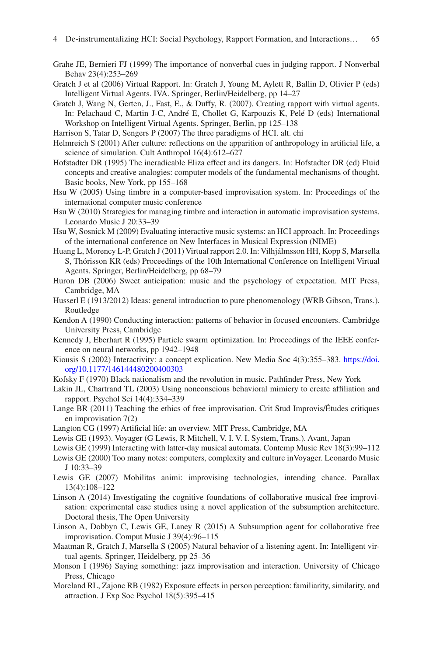- <span id="page-22-5"></span>Grahe JE, Bernieri FJ (1999) The importance of nonverbal cues in judging rapport. J Nonverbal Behav 23(4):253–269
- <span id="page-22-27"></span>Gratch J et al (2006) Virtual Rapport. In: Gratch J, Young M, Aylett R, Ballin D, Olivier P (eds) Intelligent Virtual Agents. IVA. Springer, Berlin/Heidelberg, pp 14–27
- <span id="page-22-18"></span>Gratch J, Wang N, Gerten, J., Fast, E., & Duffy, R. (2007). Creating rapport with virtual agents. In: Pelachaud C, Martin J-C, André E, Chollet G, Karpouzis K, Pelé D (eds) International Workshop on Intelligent Virtual Agents. Springer, Berlin, pp 125–138
- <span id="page-22-2"></span>Harrison S, Tatar D, Sengers P (2007) The three paradigms of HCI. alt. chi
- <span id="page-22-1"></span>Helmreich S (2001) After culture: reflections on the apparition of anthropology in artificial life, a science of simulation. Cult Anthropol 16(4):612–627
- <span id="page-22-25"></span>Hofstadter DR (1995) The ineradicable Eliza effect and its dangers. In: Hofstadter DR (ed) Fluid concepts and creative analogies: computer models of the fundamental mechanisms of thought. Basic books, New York, pp 155–168
- <span id="page-22-12"></span>Hsu W (2005) Using timbre in a computer-based improvisation system. In: Proceedings of the international computer music conference
- <span id="page-22-16"></span>Hsu W (2010) Strategies for managing timbre and interaction in automatic improvisation systems. Leonardo Music J 20:33–39
- <span id="page-22-3"></span>Hsu W, Sosnick M (2009) Evaluating interactive music systems: an HCI approach. In: Proceedings of the international conference on New Interfaces in Musical Expression (NIME)
- <span id="page-22-19"></span>Huang L, Morency L-P, Gratch J (2011) Virtual rapport 2.0. In: Vilhjálmsson HH, Kopp S, Marsella S, Thórisson KR (eds) Proceedings of the 10th International Conference on Intelligent Virtual Agents. Springer, Berlin/Heidelberg, pp 68–79
- <span id="page-22-24"></span>Huron DB (2006) Sweet anticipation: music and the psychology of expectation. MIT Press, Cambridge, MA
- <span id="page-22-7"></span>Husserl E (1913/2012) Ideas: general introduction to pure phenomenology (WRB Gibson, Trans.). Routledge
- <span id="page-22-20"></span>Kendon A (1990) Conducting interaction: patterns of behavior in focused encounters. Cambridge University Press, Cambridge
- <span id="page-22-17"></span>Kennedy J, Eberhart R (1995) Particle swarm optimization. In: Proceedings of the IEEE conference on neural networks, pp 1942–1948
- <span id="page-22-26"></span>Kiousis S (2002) Interactivity: a concept explication. New Media Soc 4(3):355–383. [https://doi.](https://doi.org/10.1177/146144480200400303) [org/10.1177/146144480200400303](https://doi.org/10.1177/146144480200400303)
- <span id="page-22-13"></span>Kofsky F (1970) Black nationalism and the revolution in music. Pathfinder Press, New York
- <span id="page-22-6"></span>Lakin JL, Chartrand TL (2003) Using nonconscious behavioral mimicry to create affiliation and rapport. Psychol Sci 14(4):334–339
- <span id="page-22-14"></span>Lange BR (2011) Teaching the ethics of free improvisation. Crit Stud Improvis/Études critiques en improvisation 7(2)
- <span id="page-22-9"></span>Langton CG (1997) Artificial life: an overview. MIT Press, Cambridge, MA
- <span id="page-22-10"></span>Lewis GE (1993). Voyager (G Lewis, R Mitchell, V. I. V. I. System, Trans.). Avant, Japan
- <span id="page-22-11"></span>Lewis GE (1999) Interacting with latter-day musical automata. Contemp Music Rev 18(3):99–112
- <span id="page-22-0"></span>Lewis GE (2000) Too many notes: computers, complexity and culture inVoyager. Leonardo Music J 10:33–39
- <span id="page-22-15"></span>Lewis GE (2007) Mobilitas animi: improvising technologies, intending chance. Parallax 13(4):108–122
- <span id="page-22-21"></span>Linson A (2014) Investigating the cognitive foundations of collaborative musical free improvisation: experimental case studies using a novel application of the subsumption architecture. Doctoral thesis, The Open University
- <span id="page-22-4"></span>Linson A, Dobbyn C, Lewis GE, Laney R (2015) A Subsumption agent for collaborative free improvisation. Comput Music J 39(4):96–115
- <span id="page-22-8"></span>Maatman R, Gratch J, Marsella S (2005) Natural behavior of a listening agent. In: Intelligent virtual agents. Springer, Heidelberg, pp 25–36
- <span id="page-22-22"></span>Monson I (1996) Saying something: jazz improvisation and interaction. University of Chicago Press, Chicago
- <span id="page-22-23"></span>Moreland RL, Zajonc RB (1982) Exposure effects in person perception: familiarity, similarity, and attraction. J Exp Soc Psychol 18(5):395–415